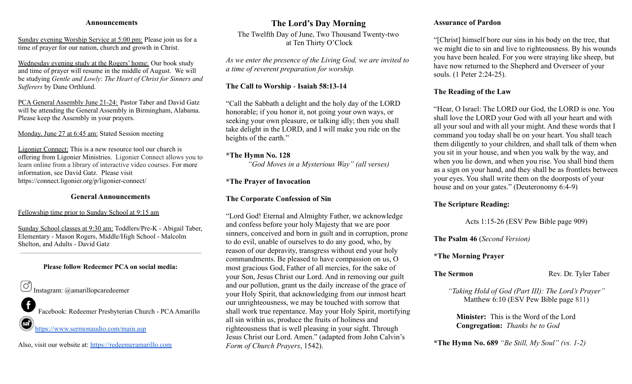### **Announcements**

Sunday evening Worship Service at 5:00 pm: Please join us for a time of prayer for our nation, church and growth in Christ.

Wednesday evening study at the Rogers' home: Our book study and time of prayer will resume in the middle of August. We will be studying *Gentle and Lowly*: *The Heart of Christ for Sinners and Sufferers* by Dane Orthlund.

PCA General Assembly June 21-24: Pastor Taber and David Gatz will be attending the General Assembly in Birmingham, Alabama. Please keep the Assembly in your prayers.

Monday, June 27 at 6:45 am: Stated Session meeting

Ligonier Connect: This is a new resource tool our church is offering from Ligonier Ministries. Ligonier Connect allows you to learn online from a library of interactive video courses. For more information, see David Gatz. Please visit https://connect.ligonier.org/p/ligonier-connect/

### **General Announcements**

### Fellowship time prior to Sunday School at 9:15 am

Sunday School classes at 9:30 am: Toddlers/Pre-K - Abigail Taber, Elementary - Mason Rogers, Middle/High School - Malcolm Shelton, and Adults - David Gatz

### **Please follow Redeemer PCA on social media:**

 $\overline{\textcircled{C}}$  Instagram: @amarillopcaredeemer

Facebook: Redeemer Presbyterian Church - PCAAmarillo

<https://www.sermonaudio.com/main.asp>

Also, visit our website at: <https://redeemeramarillo.com>

### **The Lord's Day Morning**

The Twelfth Day of June, Two Thousand Twenty-two at Ten Thirty O'Clock

*As we enter the presence of the Living God, we are invited to a time of reverent preparation for worship.*

### **The Call to Worship** - **Isaiah 58:13-14**

"Call the Sabbath a delight and the holy day of the LORD honorable; if you honor it, not going your own ways, or seeking your own pleasure, or talking idly; then you shall take delight in the LORD, and I will make you ride on the heights of the earth."

### **\*The Hymn No. 128**

*"God Moves in a Mysterious Way" (all verses)*

### **\*The Prayer of Invocation**

### **The Corporate Confession of Sin**

"Lord God! Eternal and Almighty Father, we acknowledge and confess before your holy Majesty that we are poor sinners, conceived and born in guilt and in corruption, prone to do evil, unable of ourselves to do any good, who, by reason of our depravity, transgress without end your holy commandments. Be pleased to have compassion on us, O most gracious God, Father of all mercies, for the sake of your Son, Jesus Christ our Lord. And in removing our guilt and our pollution, grant us the daily increase of the grace of your Holy Spirit, that acknowledging from our inmost heart our unrighteousness, we may be touched with sorrow that shall work true repentance. May your Holy Spirit, mortifying all sin within us, produce the fruits of holiness and righteousness that is well pleasing in your sight. Through Jesus Christ our Lord. Amen." (adapted from John Calvin's *Form of Church Prayers*, 1542).

### **Assurance of Pardon**

"[Christ] himself bore our sins in his body on the tree, that we might die to sin and live to righteousness. By his wounds you have been healed. For you were straying like sheep, but have now returned to the Shepherd and Overseer of your souls. (1 Peter 2:24-25).

### **The Reading of the Law**

"Hear, O Israel: The LORD our God, the LORD is one. You shall love the LORD your God with all your heart and with all your soul and with all your might. And these words that I command you today shall be on your heart. You shall teach them diligently to your children, and shall talk of them when you sit in your house, and when you walk by the way, and when you lie down, and when you rise. You shall bind them as a sign on your hand, and they shall be as frontlets between your eyes. You shall write them on the doorposts of your house and on your gates." (Deuteronomy 6:4-9)

### **The Scripture Reading:**

Acts 1:15-26 (ESV Pew Bible page 909)

**The Psalm 46** (*Second Version)*

### **\*The Morning Prayer**

**The Sermon** Rev. Dr. Tyler Taber

*"Taking Hold of God (Part III): The Lord's Prayer"* Matthew 6:10 (ESV Pew Bible page 811)

**Minister:** This is the Word of the Lord **Congregation:** *Thanks be to God*

**\*The Hymn No. 689** *"Be Still, My Soul" (vs. 1-2)*